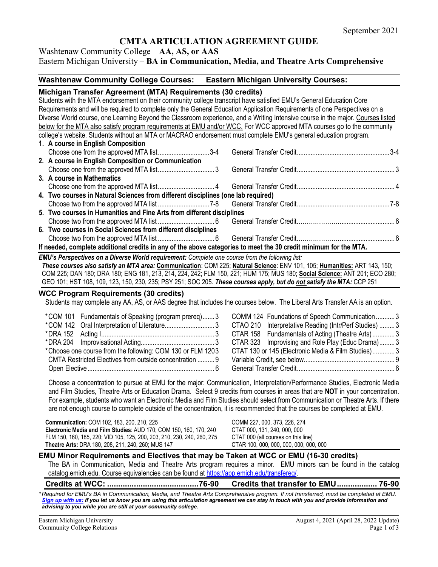# **CMTA ARTICULATION AGREEMENT GUIDE**

Washtenaw Community College – **AA, AS, or AAS** Eastern Michigan University – **BA in Communication, Media, and Theatre Arts Comprehensive**

## **Washtenaw Community College Courses: Eastern Michigan University Courses:**

### **Michigan Transfer Agreement (MTA) Requirements (30 credits)**

Students with the MTA endorsement on their community college transcript have satisfied EMU's General Education Core Requirements and will be required to complete only the General Education Application Requirements of one Perspectives on a Diverse World course, one Learning Beyond the Classroom experience, and a Writing Intensive course in the major. Courses listed below for the MTA also satisfy program requirements at EMU and/or WCC. For WCC approved MTA courses go to the community college's website. Students without an MTA or MACRAO endorsement must complete EMU's general education program. **1. A course in English Composition** Choose one from the approved MTA list..............................3-4 General Transfer Credit......................................................3-4 **2. A course in English Composition or Communication** Choose one from the approved MTA list................................. 3 General Transfer Credit......................................................... 3 **3. A course in Mathematics** Choose one from the approved MTA list................................. 4 General Transfer Credit......................................................... 4 **4. Two courses in Natural Sciences from different disciplines (one lab required)** Choose two from the approved MTA list ..............................7-8 General Transfer Credit......................................................7-8 **5. Two courses in Humanities and Fine Arts from different disciplines** Choose two from the approved MTA list ................................. 6 General Transfer Credit…………………................................ 6 **6. Two courses in Social Sciences from different disciplines** Choose two from the approved MTA list ................................. 6 General Transfer Credit…………………................................ 6 **If needed, complete additional credits in any of the above categories to meet the 30 credit minimum for the MTA.**

*EMU's Perspectives on a Diverse World requirement: Complete one course from the following list:* 

*These courses also satisfy an MTA area:* **Communication**: COM 225; **Natural Science**: ENV 101, 105; **Humanities:** ART 143, 150; COM 225; DAN 180; DRA 180; ENG 181, 213, 214, 224, 242; FLM 150, 221; HUM 175; MUS 180; **Social Science:** ANT 201; ECO 280; GEO 101; HST 108, 109, 123, 150, 230, 235; PSY 251; SOC 205. *These courses apply, but do not satisfy the MTA:* CCP 251

### **WCC Program Requirements (30 credits)**

Students may complete any AA, AS, or AAS degree that includes the courses below. The Liberal Arts Transfer AA is an option.

| COMM 124 Foundations of Speech Communication3          |  |
|--------------------------------------------------------|--|
| CTAO 210 Interpretative Reading (Intr/Perf Studies)  3 |  |
| CTAR 158 Fundamentals of Acting (Theatre Arts)3        |  |
| CTAR 323 Improvising and Role Play (Educ Drama) 3      |  |
| CTAT 130 or 145 (Electronic Media & Film Studies)3     |  |
|                                                        |  |
|                                                        |  |
|                                                        |  |

Choose a concentration to pursue at EMU for the major: Communication, Interpretation/Performance Studies, Electronic Media and Film Studies, Theatre Arts or Education Drama. Select 9 credits from courses in areas that are **NOT** in your concentration. For example, students who want an Electronic Media and Film Studies should select from Communication or Theatre Arts. If there are not enough course to complete outside of the concentration, it is recommended that the courses be completed at EMU.

**Communication:** COM 102, 183, 200, 210, 225 COMM 227, 000, 373, 226, 274 **Electronic Media and Film Studies**: AUD 170; COM 150, 160, 170, 240 CTAT 000, 131, 240, 000, 000 FLM 150, 160, 185, 220; VID 105, 125, 200, 203, 210, 230, 240, 260, 275 CTAT 000 (all courses on this line) Theatre Arts: DRA 180, 208, 211, 240, 260; MUS 147

### **EMU Minor Requirements and Electives that may be Taken at WCC or EMU (16-30 credits)**

The BA in Communication, Media and Theatre Arts program requires a minor. EMU minors can be found in the catalog catalog.emich.edu. Course equivalencies can be found a[t https://app.emich.edu/transfereq/.](https://app.emich.edu/transfereq/)

### **Credits at WCC: .........................................76-90 Credits that transfer to EMU.................. 76-90**

*\* Required for EMU's BA in Communication, Media, and Theatre Arts Comprehensive program. If not transferred, must be completed at EMU. [Sign up with us:](https://www.emich.edu/ccr/articulation-agreements/signup.php) If you let us know you are using this articulation agreement we can stay in touch with you and provide information and advising to you while you are still at your community college.*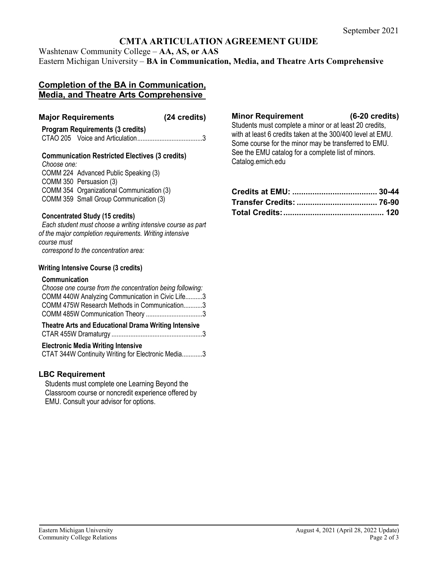# **CMTA ARTICULATION AGREEMENT GUIDE**

Washtenaw Community College – **AA, AS, or AAS** Eastern Michigan University – **BA in Communication, Media, and Theatre Arts Comprehensive**

# **Completion of the BA in Communication, Media, and Theatre Arts Comprehensive**

## **Major Requirements (24 credits)**

### **Program Requirements (3 credits)** CTAO 205 Voice and Articulation......................................3

**Communication Restricted Electives (3 credits)** *Choose one:* COMM 224 Advanced Public Speaking (3) COMM 350 Persuasion (3) COMM 354 Organizational Communication (3) COMM 359 Small Group Communication (3)

## **Concentrated Study (15 credits)**

*Each student must choose a writing intensive course as part of the major completion requirements. Writing intensive course must correspond to the concentration area:*

### **Writing Intensive Course (3 credits)**

### **Communication**

| Choose one course from the concentration being following: |  |
|-----------------------------------------------------------|--|
| COMM 440W Analyzing Communication in Civic Life3          |  |
| COMM 475W Research Methods in Communication3              |  |
|                                                           |  |
|                                                           |  |

| <b>Theatre Arts and Educational Drama Writing Intensive</b> |
|-------------------------------------------------------------|
|                                                             |
|                                                             |

### **Electronic Media Writing Intensive**

CTAT 344W Continuity Writing for Electronic Media............3

## **LBC Requirement**

Students must complete one Learning Beyond the Classroom course or noncredit experience offered by EMU. Consult your advisor for options.

### **Minor Requirement (6-20 credits)**

Students must complete a minor or at least 20 credits, with at least 6 credits taken at the 300/400 level at EMU. Some course for the minor may be transferred to EMU. See the EMU catalog for a complete list of minors. Catalog.emich.edu